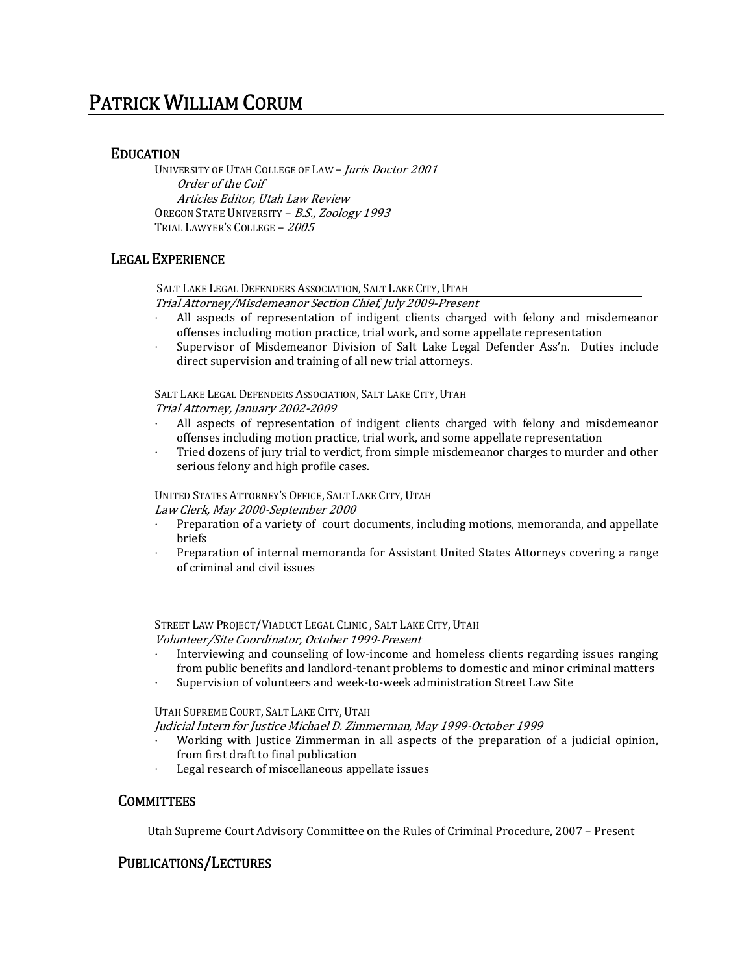# PATRICK WILLIAM CORUM

## EDUCATION

UNIVERSITY OF UTAH COLLEGE OF LAW - Juris Doctor 2001 Order of the Coif Articles Editor, Utah Law Review OREGON STATE UNIVERSITY - B.S., Zoology 1993 TRIAL LAWYER'S COLLEGE – 2005

## LEGAL EXPERIENCE

SALT LAKE LEGAL DEFENDERS ASSOCIATION, SALT LAKE CITY, UTAH

Trial Attorney/Misdemeanor Section Chief, July 2009‐Present

- All aspects of representation of indigent clients charged with felony and misdemeanor offenses including motion practice, trial work, and some appellate representation
- Supervisor of Misdemeanor Division of Salt Lake Legal Defender Ass'n. Duties include direct supervision and training of all new trial attorneys.

SALT LAKE LEGAL DEFENDERS ASSOCIATION, SALT LAKE CITY, UTAH Trial Attorney, January 2002‐2009

- All aspects of representation of indigent clients charged with felony and misdemeanor offenses including motion practice, trial work, and some appellate representation
- Tried dozens of jury trial to verdict, from simple misdemeanor charges to murder and other serious felony and high profile cases.

UNITED STATES ATTORNEY'S OFFICE, SALT LAKE CITY, UTAH Law Clerk, May 2000‐September 2000

- Preparation of a variety of court documents, including motions, memoranda, and appellate briefs
- Preparation of internal memoranda for Assistant United States Attorneys covering a range of criminal and civil issues

STREET LAW PROJECT/VIADUCT LEGAL CLINIC , SALT LAKE CITY, UTAH Volunteer/Site Coordinator, October 1999‐Present

- Interviewing and counseling of low‐income and homeless clients regarding issues ranging from public benefits and landlord-tenant problems to domestic and minor criminal matters
- Supervision of volunteers and week‐to‐week administration Street Law Site

#### UTAH SUPREME COURT, SALT LAKE CITY, UTAH

Judicial Intern for Justice Michael D. Zimmerman, May 1999‐October 1999

- Working with Justice Zimmerman in all aspects of the preparation of a judicial opinion, from first draft to final publication
- Legal research of miscellaneous appellate issues

### **COMMITTEES**

Utah Supreme Court Advisory Committee on the Rules of Criminal Procedure, 2007 – Present

# PUBLICATIONS/LECTURES